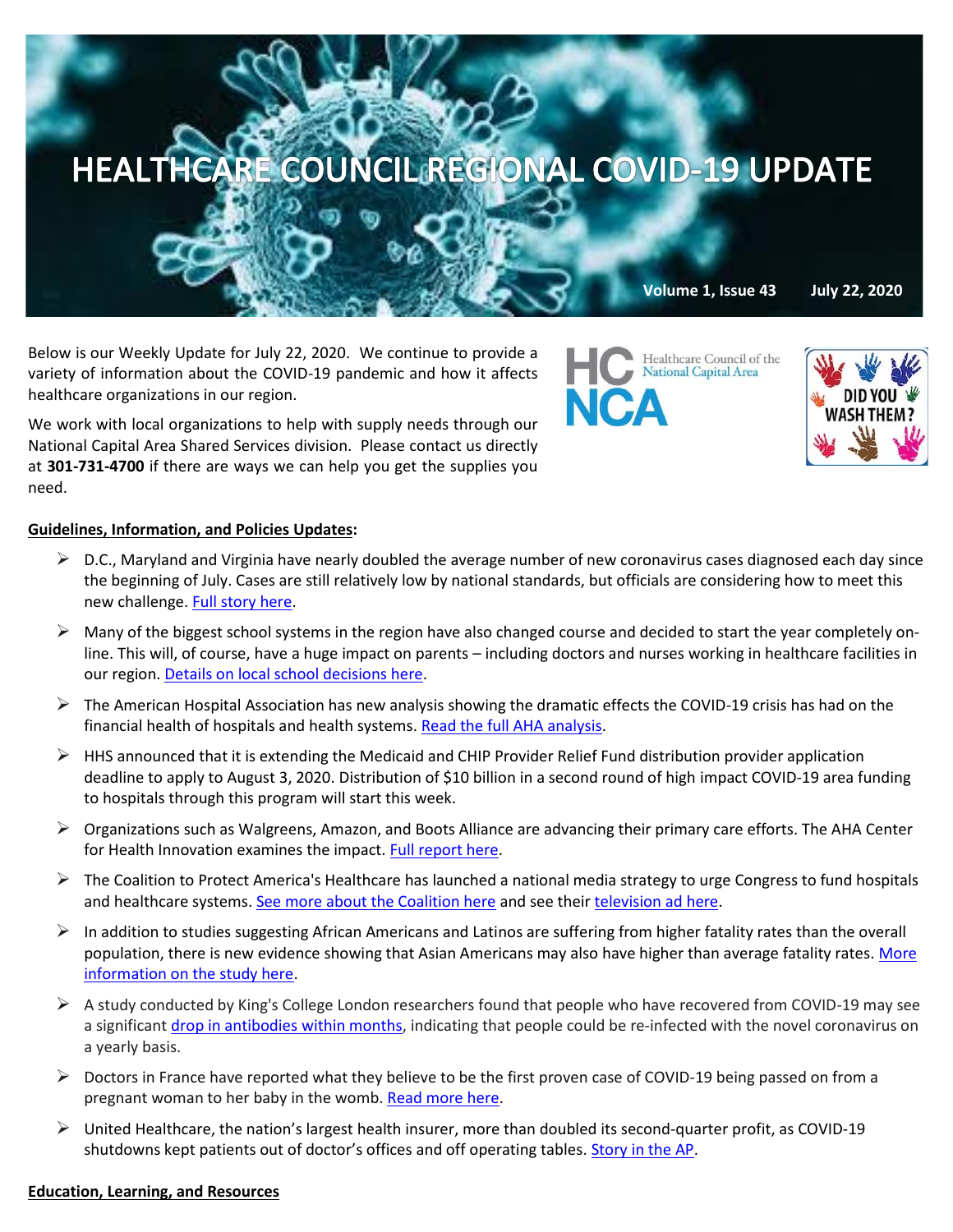

Below is our Weekly Update for July 22, 2020. We continue to provide a variety of information about the COVID-19 pandemic and how it affects healthcare organizations in our region.

We work with local organizations to help with supply needs through our National Capital Area Shared Services division. Please contact us directly at **301-731-4700** if there are ways we can help you get the supplies you need.

## **Guidelines, Information, and Policies Updates:**

- $\triangleright$  D.C., Maryland and Virginia have nearly doubled the average number of new coronavirus cases diagnosed each day since the beginning of July. Cases are still relatively low by national standards, but officials are considering how to meet this new challenge[. Full story here.](https://www.nbcwashington.com/news/local/coronavirus-in-dc-maryland-virginia-what-to-know-on-july-21/2366738/?_osource=SocialFlowTwt_DCBrand)
- $\triangleright$  Many of the biggest school systems in the region have also changed course and decided to start the year completely online. This will, of course, have a huge impact on parents – including doctors and nurses working in healthcare facilities in our region. [Details on local school decisions here.](https://www.washingtonpost.com/local/education/superintendent-of-loudoun-schools-calls-for-all-virtual-start-to-classes/2020/07/21/9f7c6ae4-cb64-11ea-bc6a-6841b28d9093_story.html)
- $\triangleright$  The American Hospital Association has new analysis showing the dramatic effects the COVID-19 crisis has had on the financial health of hospitals and health systems[. Read the full AHA analysis.](https://contentsharing.net/actions/email_web_version.cfm?ep=Bdhtp-zVuqFkgQiV6-lxty0f-nrLBJWzuTngPvD-5dXjQqXb20lh4alkalYz2jv7IwYycGlG2ry1GHRZ0m9bQWpTANhlbQP8Ex8scVcIKUkK1E1oQBUMNOyZhHeOFRYx)
- $\triangleright$  HHS announced that it is extending the Medicaid and CHIP Provider Relief Fund distribution provider application deadline to apply to August 3, 2020. Distribution of \$10 billion in a second round of high impact COVID-19 area funding to hospitals through this program will start this week.
- $\triangleright$  Organizations such as Walgreens, Amazon, and Boots Alliance are advancing their primary care efforts. The AHA Center for Health Innovation examines the impact. [Full report here.](https://contentsharing.net/actions/email_web_version.cfm?ep=Bdhtp-zVuqFkgQiV6-lxty0f-nrLBJWzuTngPvD-5dWrU9XWNq2lcvMRWnixNOgrEz7sheyi70RWl6TiodX39o_HDWk4-b-vzlg4sNCLh4OabwT0T194A-eEDy4lXgyx)
- $\triangleright$  The Coalition to Protect America's Healthcare has launched a national media strategy to urge Congress to fund hospitals and healthcare systems[. See more about the Coalition here](https://contentsharing.net/actions/email_web_version.cfm?ep=Bdhtp-zVuqFkgQiV6-lxty0f-nrLBJWzuTngPvD-5dWzaM0KUH1VzLNdONPCW32w7RvnhbHcuxDnWrUvjy_y9QVbb2HzdmbTArvFQ5N5mZnSyAkNbTl3QFzd5DSMzyvN) and see their [television ad here.](https://www.youtube.com/watch?v=ivfbar4Wb3M&feature=youtu.be)
- $\triangleright$  In addition to studies suggesting African Americans and Latinos are suffering from higher fatality rates than the overall population, there is new evidence showing that Asian Americans may also have higher than average fatality rates. More [information on the study here.](https://www.managedhealthcareexecutive.com/view/asian-americans-have-higher-covid-19-case-fatality-rates-in-many-states-localities?eKey=bHBpdHRvbkBoZWFsdGhjYXJlLWNvdW5jaWwub3Jn)
- $\triangleright$  A study conducted by King's College London researchers found that people who have recovered from COVID-19 may see a significant [drop in antibodies within months,](https://c.morningconsult.com/kT0qV0f00jC03AzMWn0w50A#_blank) indicating that people could be re-infected with the novel coronavirus on a yearly basis.
- $\triangleright$  Doctors in France have reported what they believe to be the first proven case of COVID-19 being passed on from a pregnant woman to her baby in the womb. [Read more here.](https://www.theguardian.com/science/2020/jul/14/baby-boy-infected-with-coronavirus-in-womb?mkt_tok=eyJpIjoiTkdWbFlXTmtZakUxWWpBdyIsInQiOiJrUkduSEo4T0tZQ0twZ09ha0xBTm9RVDNWOXpUb2tDc0krWEllMVlmZ3BtSW4xaUF0VGNHY04rVnRpYTFyOFFQQzFmQmZCN2VpNWI0V29BMUNmNW5JaTNYZ2k0clwvREVYQ2IzZ0JxZGVFQk00ekZGbUdCY1hmS0RicWdpaWxSWngifQ==)
- $\triangleright$  United Healthcare, the nation's largest health insurer, more than doubled its second-quarter profit, as COVID-19 shutdowns kept patients out of doctor's offices and off operating tables. [Story in the AP.](https://apnews.com/16c2fa79385933b232bf1a3c593ae391?mkt_tok=eyJpIjoiTkdWbFlXTmtZakUxWWpBdyIsInQiOiJrUkduSEo4T0tZQ0twZ09ha0xBTm9RVDNWOXpUb2tDc0krWEllMVlmZ3BtSW4xaUF0VGNHY04rVnRpYTFyOFFQQzFmQmZCN2VpNWI0V29BMUNmNW5JaTNYZ2k0clwvREVYQ2IzZ0JxZGVFQk00ekZGbUdCY1hmS0RicWdpaWxSWngifQ==)

## **Education, Learning, and Resources**

Healthcare Council of the **National Capital Area NCA**